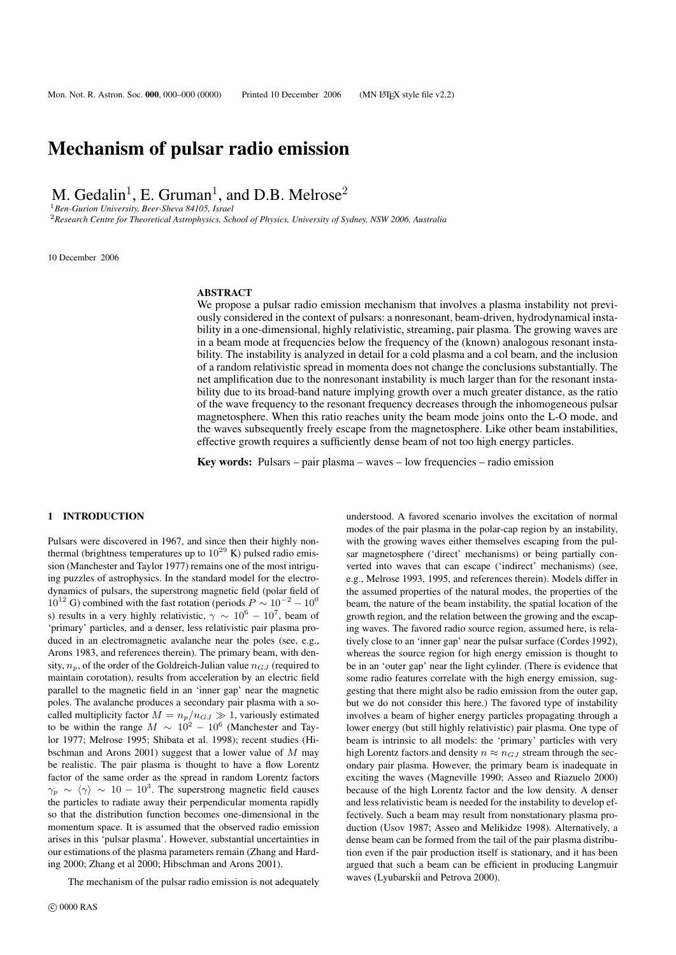# Mechanism of pulsar radio emission

M. Gedalin<sup>1</sup>, E. Gruman<sup>1</sup>, and D.B. Melrose<sup>2</sup>

<sup>1</sup>*Ben-Gurion University, Beer-Sheva 84105, Israel*

<sup>2</sup>*Research Centre for Theoretical Astrophysics, School of Physics, University of Sydney, NSW 2006, Australia*

10 December 2006

# ABSTRACT

We propose a pulsar radio emission mechanism that involves a plasma instability not previously considered in the context of pulsars: a nonresonant, beam-driven, hydrodynamical instability in a one-dimensional, highly relativistic, streaming, pair plasma. The growing waves are in a beam mode at frequencies below the frequency of the (known) analogous resonant instability. The instability is analyzed in detail for a cold plasma and a col beam, and the inclusion of a random relativistic spread in momenta does not change the conclusions substantially. The net amplification due to the nonresonant instability is much larger than for the resonant instability due to its broad-band nature implying growth over a much greater distance, as the ratio of the wave frequency to the resonant frequency decreases through the inhomogeneous pulsar magnetosphere. When this ratio reaches unity the beam mode joins onto the L-O mode, and the waves subsequently freely escape from the magnetosphere. Like other beam instabilities, effective growth requires a sufficiently dense beam of not too high energy particles.

Key words: Pulsars – pair plasma – waves – low frequencies – radio emission

# 1 INTRODUCTION

Pulsars were discovered in 1967, and since then their highly nonthermal (brightness temperatures up to  $10^{29}$  K) pulsed radio emission (Manchester and Taylor 1977) remains one of the most intriguing puzzles of astrophysics. In the standard model for the electrodynamics of pulsars, the superstrong magnetic field (polar field of  $10^{12}$  G) combined with the fast rotation (periods  $P \sim 10^{-2} - 10^0$ s) results in a very highly relativistic,  $\gamma \sim 10^6 - 10^7$ , beam of 'primary' particles, and a denser, less relativistic pair plasma produced in an electromagnetic avalanche near the poles (see, e.g., Arons 1983, and references therein). The primary beam, with density,  $n_p$ , of the order of the Goldreich-Julian value  $n_{GJ}$  (required to maintain corotation), results from acceleration by an electric field parallel to the magnetic field in an 'inner gap' near the magnetic poles. The avalanche produces a secondary pair plasma with a socalled multiplicity factor  $M = n_p/n_{GJ} \gg 1$ , variously estimated to be within the range  $M \sim 10^2 - 10^6$  (Manchester and Taylor 1977; Melrose 1995; Shibata et al. 1998); recent studies (Hibschman and Arons 2001) suggest that a lower value of M may be realistic. The pair plasma is thought to have a flow Lorentz factor of the same order as the spread in random Lorentz factors  $\gamma_p \sim \langle \gamma \rangle \sim 10 - 10^3$ . The superstrong magnetic field causes the particles to radiate away their perpendicular momenta rapidly so that the distribution function becomes one-dimensional in the momentum space. It is assumed that the observed radio emission arises in this 'pulsar plasma'. However, substantial uncertainties in our estimations of the plasma parameters remain (Zhang and Harding 2000; Zhang et al 2000; Hibschman and Arons 2001).

The mechanism of the pulsar radio emission is not adequately

understood. A favored scenario involves the excitation of normal modes of the pair plasma in the polar-cap region by an instability, with the growing waves either themselves escaping from the pulsar magnetosphere ('direct' mechanisms) or being partially converted into waves that can escape ('indirect' mechanisms) (see, e.g., Melrose 1993, 1995, and references therein). Models differ in the assumed properties of the natural modes, the properties of the beam, the nature of the beam instability, the spatial location of the growth region, and the relation between the growing and the escaping waves. The favored radio source region, assumed here, is relatively close to an 'inner gap' near the pulsar surface (Cordes 1992), whereas the source region for high energy emission is thought to be in an 'outer gap' near the light cylinder. (There is evidence that some radio features correlate with the high energy emission, suggesting that there might also be radio emission from the outer gap, but we do not consider this here.) The favored type of instability involves a beam of higher energy particles propagating through a lower energy (but still highly relativistic) pair plasma. One type of beam is intrinsic to all models: the 'primary' particles with very high Lorentz factors and density  $n \approx n_{GJ}$  stream through the secondary pair plasma. However, the primary beam is inadequate in exciting the waves (Magneville 1990; Asseo and Riazuelo 2000) because of the high Lorentz factor and the low density. A denser and less relativistic beam is needed for the instability to develop effectively. Such a beam may result from nonstationary plasma production (Usov 1987; Asseo and Melikidze 1998). Alternatively, a dense beam can be formed from the tail of the pair plasma distribution even if the pair production itself is stationary, and it has been argued that such a beam can be efficient in producing Langmuir waves (Lyubarskii and Petrova 2000).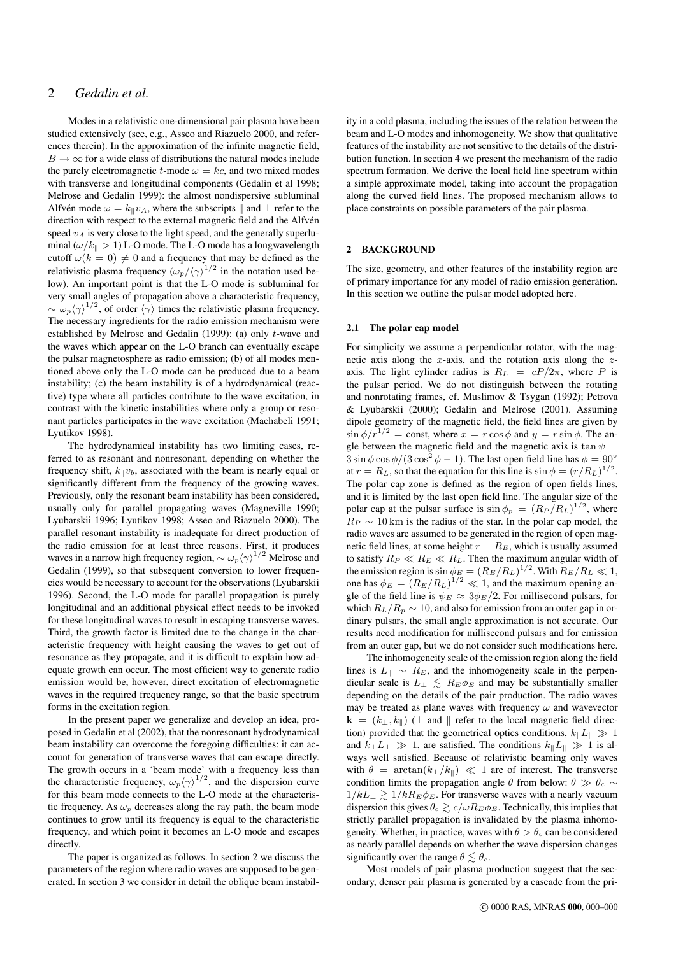# 2 *Gedalin et al.*

Modes in a relativistic one-dimensional pair plasma have been studied extensively (see, e.g., Asseo and Riazuelo 2000, and references therein). In the approximation of the infinite magnetic field,  $B \to \infty$  for a wide class of distributions the natural modes include the purely electromagnetic t-mode  $\omega = kc$ , and two mixed modes with transverse and longitudinal components (Gedalin et al 1998; Melrose and Gedalin 1999): the almost nondispersive subluminal Alfvén mode  $\omega = k_{\parallel}v_A$ , where the subscripts  $\parallel$  and  $\perp$  refer to the direction with respect to the external magnetic field and the Alfvén speed  $v_A$  is very close to the light speed, and the generally superluminal  $(\omega/k_{\parallel} > 1)$  L-O mode. The L-O mode has a longwavelength cutoff  $\omega(k = 0) \neq 0$  and a frequency that may be defined as the relativistic plasma frequency  $(\omega_p/\langle \gamma \rangle^{1/2})$  in the notation used below). An important point is that the L-O mode is subluminal for very small angles of propagation above a characteristic frequency,  $\sim \omega_p \langle \gamma \rangle^{1/2}$ , of order  $\langle \gamma \rangle$  times the relativistic plasma frequency. The necessary ingredients for the radio emission mechanism were established by Melrose and Gedalin (1999): (a) only t-wave and the waves which appear on the L-O branch can eventually escape the pulsar magnetosphere as radio emission; (b) of all modes mentioned above only the L-O mode can be produced due to a beam instability; (c) the beam instability is of a hydrodynamical (reactive) type where all particles contribute to the wave excitation, in contrast with the kinetic instabilities where only a group or resonant particles participates in the wave excitation (Machabeli 1991; Lyutikov 1998).

The hydrodynamical instability has two limiting cases, referred to as resonant and nonresonant, depending on whether the frequency shift,  $k_{\parallel}v_b$ , associated with the beam is nearly equal or significantly different from the frequency of the growing waves. Previously, only the resonant beam instability has been considered, usually only for parallel propagating waves (Magneville 1990; Lyubarskii 1996; Lyutikov 1998; Asseo and Riazuelo 2000). The parallel resonant instability is inadequate for direct production of the radio emission for at least three reasons. First, it produces waves in a narrow high frequency region,  $\sim \omega_p \langle \gamma \rangle^{1/2}$  Melrose and Gedalin (1999), so that subsequent conversion to lower frequencies would be necessary to account for the observations (Lyubarskii 1996). Second, the L-O mode for parallel propagation is purely longitudinal and an additional physical effect needs to be invoked for these longitudinal waves to result in escaping transverse waves. Third, the growth factor is limited due to the change in the characteristic frequency with height causing the waves to get out of resonance as they propagate, and it is difficult to explain how adequate growth can occur. The most efficient way to generate radio emission would be, however, direct excitation of electromagnetic waves in the required frequency range, so that the basic spectrum forms in the excitation region.

In the present paper we generalize and develop an idea, proposed in Gedalin et al (2002), that the nonresonant hydrodynamical beam instability can overcome the foregoing difficulties: it can account for generation of transverse waves that can escape directly. The growth occurs in a 'beam mode' with a frequency less than the characteristic frequency,  $\omega_p \langle \gamma \rangle^{1/2}$ , and the dispersion curve for this beam mode connects to the L-O mode at the characteristic frequency. As  $\omega_p$  decreases along the ray path, the beam mode continues to grow until its frequency is equal to the characteristic frequency, and which point it becomes an L-O mode and escapes directly.

The paper is organized as follows. In section 2 we discuss the parameters of the region where radio waves are supposed to be generated. In section 3 we consider in detail the oblique beam instability in a cold plasma, including the issues of the relation between the beam and L-O modes and inhomogeneity. We show that qualitative features of the instability are not sensitive to the details of the distribution function. In section 4 we present the mechanism of the radio spectrum formation. We derive the local field line spectrum within a simple approximate model, taking into account the propagation along the curved field lines. The proposed mechanism allows to place constraints on possible parameters of the pair plasma.

#### 2 BACKGROUND

The size, geometry, and other features of the instability region are of primary importance for any model of radio emission generation. In this section we outline the pulsar model adopted here.

# 2.1 The polar cap model

For simplicity we assume a perpendicular rotator, with the magnetic axis along the x-axis, and the rotation axis along the  $z$ axis. The light cylinder radius is  $R_L = cP/2\pi$ , where P is the pulsar period. We do not distinguish between the rotating and nonrotating frames, cf. Muslimov & Tsygan (1992); Petrova & Lyubarskii (2000); Gedalin and Melrose (2001). Assuming dipole geometry of the magnetic field, the field lines are given by  $\sin \phi/r^{1/2} = \text{const}$ , where  $x = r \cos \phi$  and  $y = r \sin \phi$ . The angle between the magnetic field and the magnetic axis is tan  $\psi =$  $3 \sin \phi \cos \phi / (3 \cos^2 \phi - 1)$ . The last open field line has  $\phi = 90^\circ$ at  $r = R_L$ , so that the equation for this line is  $\sin \phi = (r/R_L)^{1/2}$ . The polar cap zone is defined as the region of open fields lines, and it is limited by the last open field line. The angular size of the polar cap at the pulsar surface is  $\sin \phi_p = (R_P/R_L)^{1/2}$ , where  $R_P \sim 10 \text{ km}$  is the radius of the star. In the polar cap model, the radio waves are assumed to be generated in the region of open magnetic field lines, at some height  $r = R_E$ , which is usually assumed to satisfy  $R_P \ll R_E \ll R_L$ . Then the maximum angular width of the emission region is  $\sin \phi_E = (R_E/R_L)^{1/2}$ . With  $R_E/R_L \ll 1$ , one has  $\phi_E = (R_E/R_L)^{1/2} \ll 1$ , and the maximum opening angle of the field line is  $\psi_E \approx 3\phi_E/2$ . For millisecond pulsars, for which  $R_L/R_p \sim 10$ , and also for emission from an outer gap in ordinary pulsars, the small angle approximation is not accurate. Our results need modification for millisecond pulsars and for emission from an outer gap, but we do not consider such modifications here.

The inhomogeneity scale of the emission region along the field lines is  $L_{\parallel}$  ∼  $R_E$ , and the inhomogeneity scale in the perpendicular scale is  $L_{\perp} \leq R_E \phi_E$  and may be substantially smaller depending on the details of the pair production. The radio waves may be treated as plane waves with frequency  $\omega$  and wavevector  $\mathbf{k} = (k_{\perp}, k_{\parallel})$  ( $\perp$  and  $\parallel$  refer to the local magnetic field direction) provided that the geometrical optics conditions,  $k_{\parallel}L_{\parallel} \gg 1$ and  $k_{\perp}L_{\perp} \gg 1$ , are satisfied. The conditions  $k_{\parallel}L_{\parallel} \gg 1$  is always well satisfied. Because of relativistic beaming only waves with  $\theta = \arctan(k_\perp/k_\parallel) \ll 1$  are of interest. The transverse condition limits the propagation angle  $\theta$  from below:  $\theta \gg \theta_c \sim$  $1/kL_{\perp} \gtrsim 1/kR_E\phi_E$ . For transverse waves with a nearly vacuum dispersion this gives  $\theta_c \gtrsim c/\omega R_E \phi_E$ . Technically, this implies that strictly parallel propagation is invalidated by the plasma inhomogeneity. Whether, in practice, waves with  $\theta > \theta_c$  can be considered as nearly parallel depends on whether the wave dispersion changes significantly over the range  $\theta \lesssim \theta_c$ .

Most models of pair plasma production suggest that the secondary, denser pair plasma is generated by a cascade from the pri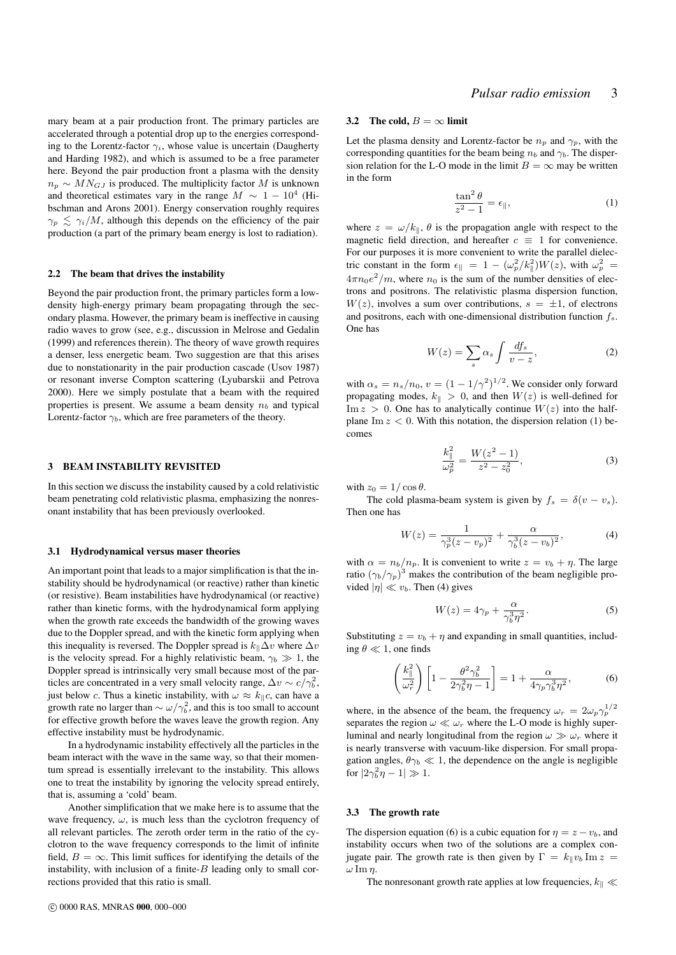mary beam at a pair production front. The primary particles are accelerated through a potential drop up to the energies corresponding to the Lorentz-factor  $\gamma_i$ , whose value is uncertain (Daugherty and Harding 1982), and which is assumed to be a free parameter here. Beyond the pair production front a plasma with the density  $n_p \sim M N_{GJ}$  is produced. The multiplicity factor M is unknown and theoretical estimates vary in the range  $M \sim 1 - 10^4$  (Hibschman and Arons 2001). Energy conservation roughly requires  $\gamma_p \leq \gamma_i/M$ , although this depends on the efficiency of the pair production (a part of the primary beam energy is lost to radiation).

#### 2.2 The beam that drives the instability

Beyond the pair production front, the primary particles form a lowdensity high-energy primary beam propagating through the secondary plasma. However, the primary beam is ineffective in causing radio waves to grow (see, e.g., discussion in Melrose and Gedalin (1999) and references therein). The theory of wave growth requires a denser, less energetic beam. Two suggestion are that this arises due to nonstationarity in the pair production cascade (Usov 1987) or resonant inverse Compton scattering (Lyubarskii and Petrova 2000). Here we simply postulate that a beam with the required properties is present. We assume a beam density  $n_b$  and typical Lorentz-factor  $\gamma_b$ , which are free parameters of the theory.

#### 3 BEAM INSTABILITY REVISITED

In this section we discuss the instability caused by a cold relativistic beam penetrating cold relativistic plasma, emphasizing the nonresonant instability that has been previously overlooked.

#### 3.1 Hydrodynamical versus maser theories

An important point that leads to a major simplification is that the instability should be hydrodynamical (or reactive) rather than kinetic (or resistive). Beam instabilities have hydrodynamical (or reactive) rather than kinetic forms, with the hydrodynamical form applying when the growth rate exceeds the bandwidth of the growing waves due to the Doppler spread, and with the kinetic form applying when this inequality is reversed. The Doppler spread is  $k_{\parallel} \Delta v$  where  $\Delta v$ is the velocity spread. For a highly relativistic beam,  $\gamma_b \gg 1$ , the Doppler spread is intrinsically very small because most of the particles are concentrated in a very small velocity range,  $\Delta v \sim c/\gamma_b^2$ , just below c. Thus a kinetic instability, with  $\omega \approx k_{\parallel}c$ , can have a growth rate no larger than  $\sim \omega/\gamma_b^2$ , and this is too small to account for effective growth before the waves leave the growth region. Any effective instability must be hydrodynamic.

In a hydrodynamic instability effectively all the particles in the beam interact with the wave in the same way, so that their momentum spread is essentially irrelevant to the instability. This allows one to treat the instability by ignoring the velocity spread entirely, that is, assuming a 'cold' beam.

Another simplification that we make here is to assume that the wave frequency,  $\omega$ , is much less than the cyclotron frequency of all relevant particles. The zeroth order term in the ratio of the cyclotron to the wave frequency corresponds to the limit of infinite field,  $B = \infty$ . This limit suffices for identifying the details of the instability, with inclusion of a finite- $B$  leading only to small corrections provided that this ratio is small.

#### 3.2 The cold,  $B = \infty$  limit

Let the plasma density and Lorentz-factor be  $n_p$  and  $\gamma_p$ , with the corresponding quantities for the beam being  $n_b$  and  $\gamma_b$ . The dispersion relation for the L-O mode in the limit  $B = \infty$  may be written in the form

$$
\frac{\tan^2 \theta}{z^2 - 1} = \epsilon_{\parallel},\tag{1}
$$

where  $z = \omega/k_{\parallel}$ ,  $\theta$  is the propagation angle with respect to the magnetic field direction, and hereafter  $c \equiv 1$  for convenience. For our purposes it is more convenient to write the parallel dielectric constant in the form  $\epsilon_{\parallel} = 1 - (\omega_p^2 / k_{\parallel}^2) W(z)$ , with  $\omega_p^2 =$  $4\pi n_0 e^2/m$ , where  $n_0$  is the sum of the number densities of electrons and positrons. The relativistic plasma dispersion function,  $W(z)$ , involves a sum over contributions,  $s = \pm 1$ , of electrons and positrons, each with one-dimensional distribution function  $f_s$ . One has

$$
W(z) = \sum_{s} \alpha_{s} \int \frac{df_{s}}{v - z},
$$
 (2)

with  $\alpha_s = n_s/n_0$ ,  $v = (1 - 1/\gamma^2)^{1/2}$ . We consider only forward propagating modes,  $k_{\parallel} > 0$ , and then  $W(z)$  is well-defined for Im  $z > 0$ . One has to analytically continue  $W(z)$  into the halfplane Im  $z < 0$ . With this notation, the dispersion relation (1) becomes

$$
\frac{k_{\parallel}^2}{\omega_p^2} = \frac{W(z^2 - 1)}{z^2 - z_0^2},\tag{3}
$$

with  $z_0 = 1/\cos\theta$ .

The cold plasma-beam system is given by  $f_s = \delta(v - v_s)$ . Then one has

$$
W(z) = \frac{1}{\gamma_p^3 (z - v_p)^2} + \frac{\alpha}{\gamma_b^3 (z - v_b)^2},\tag{4}
$$

with  $\alpha = n_b/n_p$ . It is convenient to write  $z = v_b + \eta$ . The large ratio  $(\gamma_b/\gamma_p)^3$  makes the contribution of the beam negligible provided  $|\eta| \ll v_b$ . Then (4) gives

$$
W(z) = 4\gamma_p + \frac{\alpha}{\gamma_b^3 \eta^2}.
$$
\n(5)

Substituting  $z = v_b + \eta$  and expanding in small quantities, including  $\theta \ll 1$ , one finds

$$
\left(\frac{k_{\parallel}^2}{\omega_r^2}\right) \left[1 - \frac{\theta^2 \gamma_b^2}{2\gamma_b^2 \eta - 1}\right] = 1 + \frac{\alpha}{4\gamma_p \gamma_b^3 \eta^2},\tag{6}
$$

where, in the absence of the beam, the frequency  $\omega_r = 2\omega_p \gamma_p^{1/2}$ separates the region  $\omega \ll \omega_r$  where the L-O mode is highly superluminal and nearly longitudinal from the region  $\omega \gg \omega_r$  where it is nearly transverse with vacuum-like dispersion. For small propagation angles,  $\theta \gamma_b \ll 1$ , the dependence on the angle is negligible for  $|2\gamma_b^2\eta - 1| \gg 1$ .

#### 3.3 The growth rate

The dispersion equation (6) is a cubic equation for  $\eta = z - v_b$ , and instability occurs when two of the solutions are a complex conjugate pair. The growth rate is then given by  $\Gamma = k_{\parallel} v_b$  Im  $z =$  $ω \operatorname{Im} η.$ 

The nonresonant growth rate applies at low frequencies,  $k_\parallel \ll$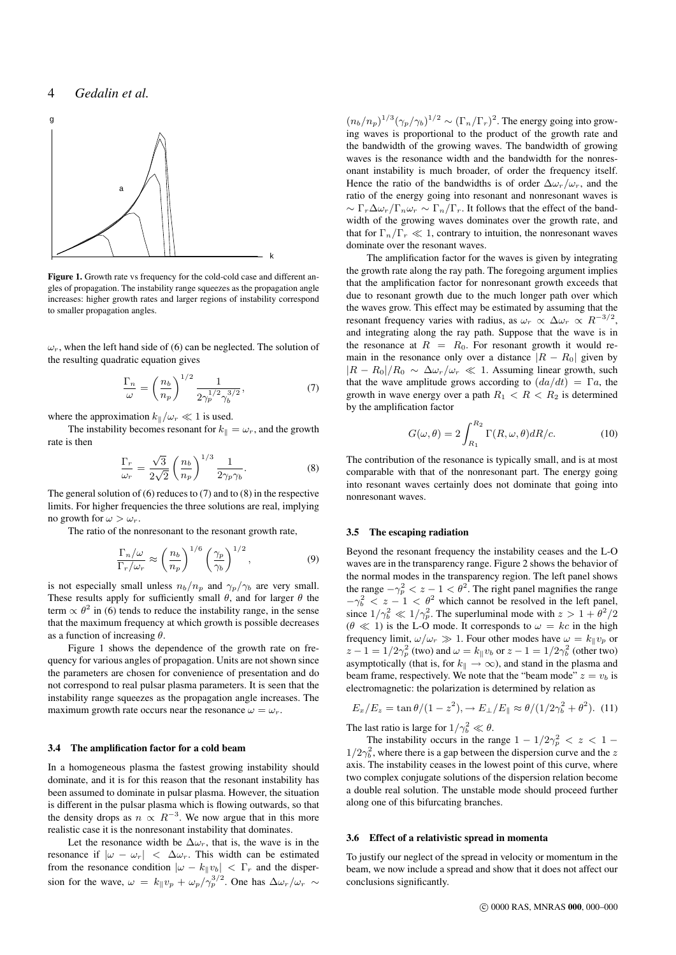# 4 *Gedalin et al.*



Figure 1. Growth rate vs frequency for the cold-cold case and different angles of propagation. The instability range squeezes as the propagation angle increases: higher growth rates and larger regions of instability correspond to smaller propagation angles.

 $\omega_r$ , when the left hand side of (6) can be neglected. The solution of the resulting quadratic equation gives

$$
\frac{\Gamma_n}{\omega} = \left(\frac{n_b}{n_p}\right)^{1/2} \frac{1}{2\gamma_p^{1/2}\gamma_b^{3/2}},\tag{7}
$$

where the approximation  $k_{\parallel}/\omega_r \ll 1$  is used.

The instability becomes resonant for  $k_{\parallel} = \omega_r$ , and the growth rate is then

$$
\frac{\Gamma_r}{\omega_r} = \frac{\sqrt{3}}{2\sqrt{2}} \left(\frac{n_b}{n_p}\right)^{1/3} \frac{1}{2\gamma_p \gamma_b}.\tag{8}
$$

The general solution of (6) reduces to (7) and to (8) in the respective limits. For higher frequencies the three solutions are real, implying no growth for  $\omega > \omega_r$ .

The ratio of the nonresonant to the resonant growth rate,

$$
\frac{\Gamma_n/\omega}{\Gamma_r/\omega_r} \approx \left(\frac{n_b}{n_p}\right)^{1/6} \left(\frac{\gamma_p}{\gamma_b}\right)^{1/2},\tag{9}
$$

is not especially small unless  $n_b/n_p$  and  $\gamma_p/\gamma_b$  are very small. These results apply for sufficiently small  $\theta$ , and for larger  $\theta$  the term  $\propto \theta^2$  in (6) tends to reduce the instability range, in the sense that the maximum frequency at which growth is possible decreases as a function of increasing  $\theta$ .

Figure 1 shows the dependence of the growth rate on frequency for various angles of propagation. Units are not shown since the parameters are chosen for convenience of presentation and do not correspond to real pulsar plasma parameters. It is seen that the instability range squeezes as the propagation angle increases. The maximum growth rate occurs near the resonance  $\omega = \omega_r$ .

#### 3.4 The amplification factor for a cold beam

In a homogeneous plasma the fastest growing instability should dominate, and it is for this reason that the resonant instability has been assumed to dominate in pulsar plasma. However, the situation is different in the pulsar plasma which is flowing outwards, so that the density drops as  $n \propto R^{-3}$ . We now argue that in this more realistic case it is the nonresonant instability that dominates.

Let the resonance width be  $\Delta \omega_r$ , that is, the wave is in the resonance if  $|\omega - \omega_r| < \Delta \omega_r$ . This width can be estimated from the resonance condition  $|\omega - k_{\parallel} v_b| < \Gamma_r$  and the dispersion for the wave,  $\omega = k_{\parallel}v_p + \omega_p/\gamma_p^{3/2}$ . One has  $\Delta \omega_r/\omega_r \sim$ 

 $(n_b/n_p)^{1/3}(\gamma_p/\gamma_b)^{1/2} \sim (\Gamma_n/\Gamma_r)^2$ . The energy going into growing waves is proportional to the product of the growth rate and the bandwidth of the growing waves. The bandwidth of growing waves is the resonance width and the bandwidth for the nonresonant instability is much broader, of order the frequency itself. Hence the ratio of the bandwidths is of order  $\Delta \omega_r / \omega_r$ , and the ratio of the energy going into resonant and nonresonant waves is  $\sim \Gamma_r \Delta \omega_r / \Gamma_n \omega_r \sim \Gamma_n / \Gamma_r$ . It follows that the effect of the bandwidth of the growing waves dominates over the growth rate, and that for  $\Gamma_n/\Gamma_r \ll 1$ , contrary to intuition, the nonresonant waves dominate over the resonant waves.

The amplification factor for the waves is given by integrating the growth rate along the ray path. The foregoing argument implies that the amplification factor for nonresonant growth exceeds that due to resonant growth due to the much longer path over which the waves grow. This effect may be estimated by assuming that the resonant frequency varies with radius, as  $\omega_r \propto \Delta \omega_r \propto R^{-3/2}$ , and integrating along the ray path. Suppose that the wave is in the resonance at  $R = R_0$ . For resonant growth it would remain in the resonance only over a distance  $|R - R_0|$  given by  $|R - R_0|/R_0 \sim \Delta \omega_r/\omega_r \ll 1$ . Assuming linear growth, such that the wave amplitude grows according to  $(da/dt) = \Gamma a$ , the growth in wave energy over a path  $R_1 < R < R_2$  is determined by the amplification factor

$$
G(\omega,\theta) = 2 \int_{R_1}^{R_2} \Gamma(R,\omega,\theta) dR/c.
$$
 (10)

The contribution of the resonance is typically small, and is at most comparable with that of the nonresonant part. The energy going into resonant waves certainly does not dominate that going into nonresonant waves.

#### 3.5 The escaping radiation

Beyond the resonant frequency the instability ceases and the L-O waves are in the transparency range. Figure 2 shows the behavior of the normal modes in the transparency region. The left panel shows the range  $-\gamma_p^2 < z - 1 < \theta^2$ . The right panel magnifies the range  $-\gamma_b^2 < z - 1 < \theta^2$  which cannot be resolved in the left panel, since  $1/\gamma_b^2 \ll 1/\gamma_p^2$ . The superluminal mode with  $z > 1 + \theta^2/2$  $(\theta \ll 1)$  is the L-O mode. It corresponds to  $\omega = kc$  in the high frequency limit,  $\omega/\omega_r \gg 1$ . Four other modes have  $\omega = k_{\parallel}v_p$  or  $z - 1 = 1/2\gamma_p^2$  (two) and  $\omega = k_{\parallel}v_b$  or  $z - 1 = 1/2\gamma_b^2$  (other two) asymptotically (that is, for  $k_{\parallel} \rightarrow \infty$ ), and stand in the plasma and beam frame, respectively. We note that the "beam mode"  $z = v_b$  is electromagnetic: the polarization is determined by relation as

$$
E_x/E_z = \tan \theta/(1 - z^2), \rightarrow E_{\perp}/E_{\parallel} \approx \theta/(1/2\gamma_b^2 + \theta^2).
$$
 (11)

The last ratio is large for  $1/\gamma_b^2 \ll \theta$ .

The instability occurs in the range  $1 - 1/2\gamma_p^2 < z < 1$  –  $1/2\gamma_b^2$ , where there is a gap between the dispersion curve and the z axis. The instability ceases in the lowest point of this curve, where two complex conjugate solutions of the dispersion relation become a double real solution. The unstable mode should proceed further along one of this bifurcating branches.

### 3.6 Effect of a relativistic spread in momenta

To justify our neglect of the spread in velocity or momentum in the beam, we now include a spread and show that it does not affect our conclusions significantly.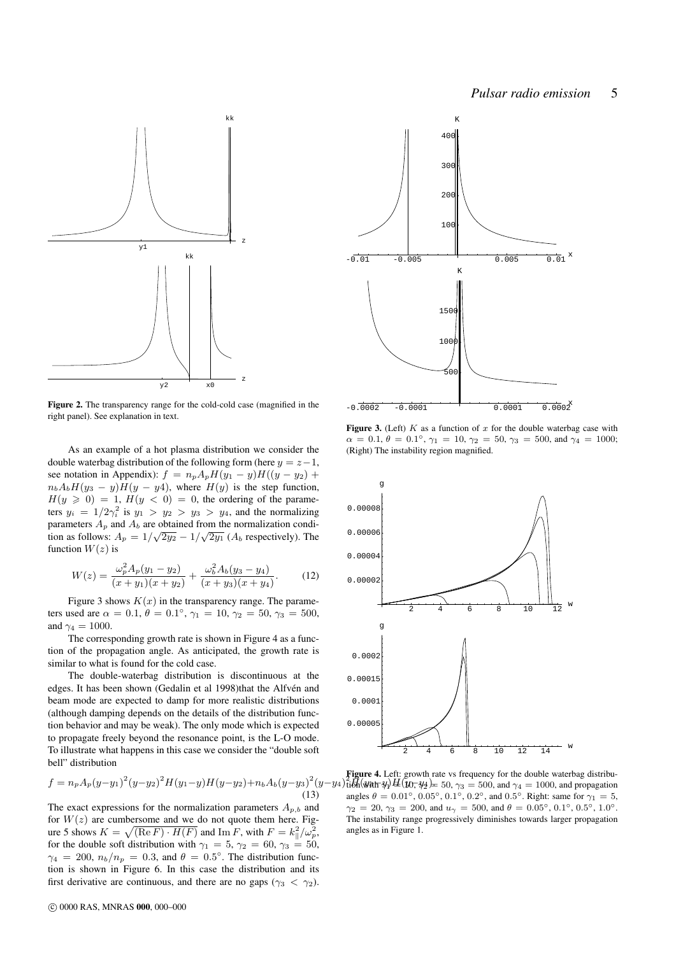

Figure 2. The transparency range for the cold-cold case (magnified in the right panel). See explanation in text.

As an example of a hot plasma distribution we consider the double waterbag distribution of the following form (here  $y = z - 1$ , see notation in Appendix):  $f = n_p A_p H(y_1 - y)H((y - y_2) +$  $n_bA_bH(y_3 - y)H(y - y_3)$ , where  $H(y)$  is the step function,  $H(y \ge 0) = 1$ ,  $H(y < 0) = 0$ , the ordering of the parameters  $y_i = 1/2\gamma_i^2$  is  $y_1 > y_2 > y_3 > y_4$ , and the normalizing parameters  $A_p$  and  $A_b$  are obtained from the normalization condition as follows:  $A_p = 1/\sqrt{2y_2} - 1/\sqrt{2y_1}$  ( $A_b$  respectively). The function  $W(z)$  is

$$
W(z) = \frac{\omega_p^2 A_p(y_1 - y_2)}{(x + y_1)(x + y_2)} + \frac{\omega_b^2 A_b(y_3 - y_4)}{(x + y_3)(x + y_4)}.
$$
 (12)

Figure 3 shows  $K(x)$  in the transparency range. The parameters used are  $\alpha = 0.1, \theta = 0.1^{\circ}, \gamma_1 = 10, \gamma_2 = 50, \gamma_3 = 500,$ and  $\gamma_4 = 1000$ .

The corresponding growth rate is shown in Figure 4 as a function of the propagation angle. As anticipated, the growth rate is similar to what is found for the cold case.

The double-waterbag distribution is discontinuous at the edges. It has been shown (Gedalin et al 1998)that the Alfvén and beam mode are expected to damp for more realistic distributions (although damping depends on the details of the distribution function behavior and may be weak). The only mode which is expected to propagate freely beyond the resonance point, is the L-O mode. To illustrate what happens in this case we consider the "double soft bell" distribution

$$
f = n_p A_p (y - y_1)^2 (y - y_2)^2 H (y_1 - y) H (y - y_2) + n_b A_b (y - y_3)^2 (y - y_1)
$$
\n(13)

The exact expressions for the normalization parameters  $A_{p,b}$  and for  $W(z)$  are cumbersome and we do not quote them here. Figure 5 shows  $K = \sqrt{(\text{Re } F) \cdot H(F)}$  and Im F, with  $F = k_{\parallel}^2 / \omega_p^2$ , for the double soft distribution with  $\gamma_1 = 5$ ,  $\gamma_2 = 60$ ,  $\gamma_3 = 50$ ,  $\gamma_4 = 200, n_b/n_p = 0.3$ , and  $\theta = 0.5^{\circ}$ . The distribution function is shown in Figure 6. In this case the distribution and its first derivative are continuous, and there are no gaps ( $\gamma_3 < \gamma_2$ ).



Figure 3. (Left)  $K$  as a function of  $x$  for the double waterbag case with  $\alpha = 0.1, \theta = 0.1^{\circ}, \gamma_1 = 10, \gamma_2 = 50, \gamma_3 = 500, \text{ and } \gamma_4 = 1000;$ (Right) The instability region magnified.



 $(y-y_4)$   $\frac{2}{10}$  $\frac{1}{10}$  $\frac{1}{24}$  $\frac{1}{24}$  $\frac{1}{24}$  $\frac{1}{24}$  $\frac{1}{24}$  $\frac{1}{24}$  = 50,  $\gamma_3$  = 500, and  $\gamma_4$  = 1000, and propagation Figure 4. Left: growth rate vs frequency for the double waterbag distribuangles  $\theta = 0.01^{\circ}$ ,  $0.05^{\circ}$ ,  $0.1^{\circ}$ ,  $0.2^{\circ}$ , and  $0.5^{\circ}$ . Right: same for  $\gamma_1 = 5$ ,  $\gamma_2 = 20, \, \gamma_3 = 200, \, \text{and} \, u_{\gamma} = 500, \, \text{and} \, \theta = 0.05^{\circ}, \, 0.1^{\circ}, \, 0.5^{\circ}, \, 1.0^{\circ}.$ The instability range progressively diminishes towards larger propagation angles as in Figure 1.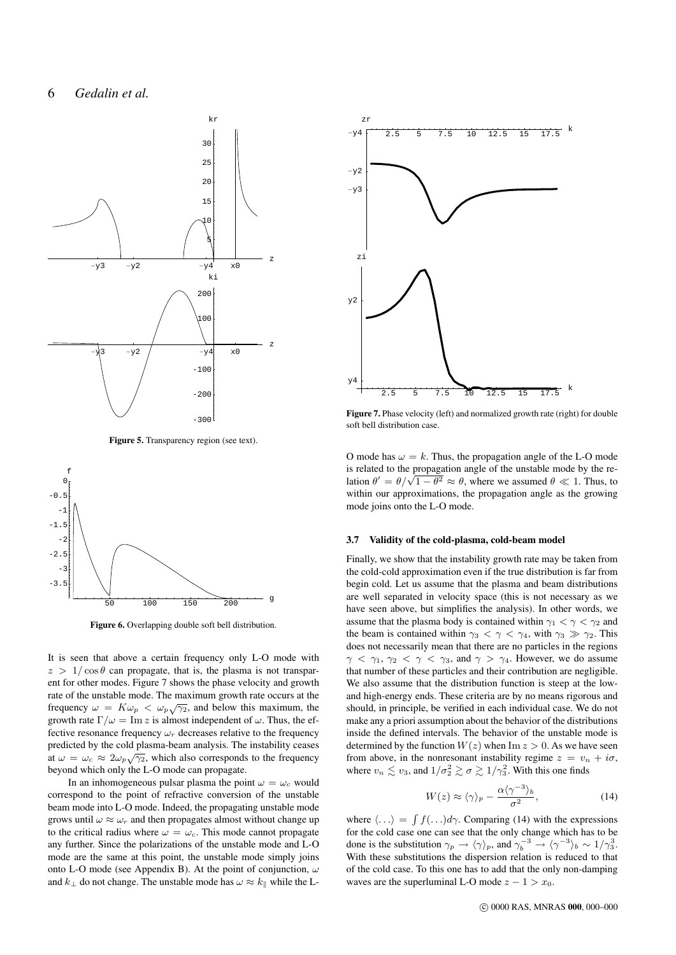

Figure 5. Transparency region (see text).



Figure 6. Overlapping double soft bell distribution.

It is seen that above a certain frequency only L-O mode with  $z > 1/\cos\theta$  can propagate, that is, the plasma is not transparent for other modes. Figure 7 shows the phase velocity and growth rate of the unstable mode. The maximum growth rate occurs at the frequency  $\omega = K \omega_p < \omega_p \sqrt{\gamma_2}$ , and below this maximum, the growth rate  $\Gamma/\omega = \text{Im } z$  is almost independent of  $\omega$ . Thus, the effective resonance frequency  $\omega_r$  decreases relative to the frequency predicted by the cold plasma-beam analysis. The instability ceases at  $\omega = \omega_c \approx 2\omega_p\sqrt{\gamma_2}$ , which also corresponds to the frequency beyond which only the L-O mode can propagate.

In an inhomogeneous pulsar plasma the point  $\omega = \omega_c$  would correspond to the point of refractive conversion of the unstable beam mode into L-O mode. Indeed, the propagating unstable mode grows until  $\omega \approx \omega_r$  and then propagates almost without change up to the critical radius where  $\omega = \omega_c$ . This mode cannot propagate any further. Since the polarizations of the unstable mode and L-O mode are the same at this point, the unstable mode simply joins onto L-O mode (see Appendix B). At the point of conjunction,  $\omega$ and  $k_{\perp}$  do not change. The unstable mode has  $\omega \approx k_{\parallel}$  while the L-



Figure 7. Phase velocity (left) and normalized growth rate (right) for double soft bell distribution case.

O mode has  $\omega = k$ . Thus, the propagation angle of the L-O mode is related to the propagation angle of the unstable mode by the re-Is related to the propagation angle of the unstable mode by the re-<br>lation  $\theta' = \theta/\sqrt{1-\theta^2} \approx \theta$ , where we assumed  $\theta \ll 1$ . Thus, to within our approximations, the propagation angle as the growing mode joins onto the L-O mode.

#### 3.7 Validity of the cold-plasma, cold-beam model

Finally, we show that the instability growth rate may be taken from the cold-cold approximation even if the true distribution is far from begin cold. Let us assume that the plasma and beam distributions are well separated in velocity space (this is not necessary as we have seen above, but simplifies the analysis). In other words, we assume that the plasma body is contained within  $\gamma_1 < \gamma < \gamma_2$  and the beam is contained within  $\gamma_3 < \gamma < \gamma_4$ , with  $\gamma_3 \gg \gamma_2$ . This does not necessarily mean that there are no particles in the regions  $\gamma$  <  $\gamma_1$ ,  $\gamma_2$  <  $\gamma$  <  $\gamma_3$ , and  $\gamma$  >  $\gamma_4$ . However, we do assume that number of these particles and their contribution are negligible. We also assume that the distribution function is steep at the lowand high-energy ends. These criteria are by no means rigorous and should, in principle, be verified in each individual case. We do not make any a priori assumption about the behavior of the distributions inside the defined intervals. The behavior of the unstable mode is determined by the function  $W(z)$  when Im  $z > 0$ . As we have seen from above, in the nonresonant instability regime  $z = v_n + i\sigma$ , where  $v_n \lesssim v_3$ , and  $1/\sigma_2^2 \gtrsim \sigma \gtrsim 1/\gamma_3^2$ . With this one finds

$$
W(z) \approx \langle \gamma \rangle_p - \frac{\alpha \langle \gamma^{-3} \rangle_b}{\sigma^2},\tag{14}
$$

where  $\langle \ldots \rangle = \int f(\ldots) d\gamma$ . Comparing (14) with the expressions for the cold case one can see that the only change which has to be done is the substitution  $\gamma_p \to \langle \gamma \rangle_p$ , and  $\gamma_b^{-3} \to \langle \gamma^{-3} \rangle_b \sim 1/\gamma_3^3$ . With these substitutions the dispersion relation is reduced to that of the cold case. To this one has to add that the only non-damping waves are the superluminal L-O mode  $z - 1 > x_0$ .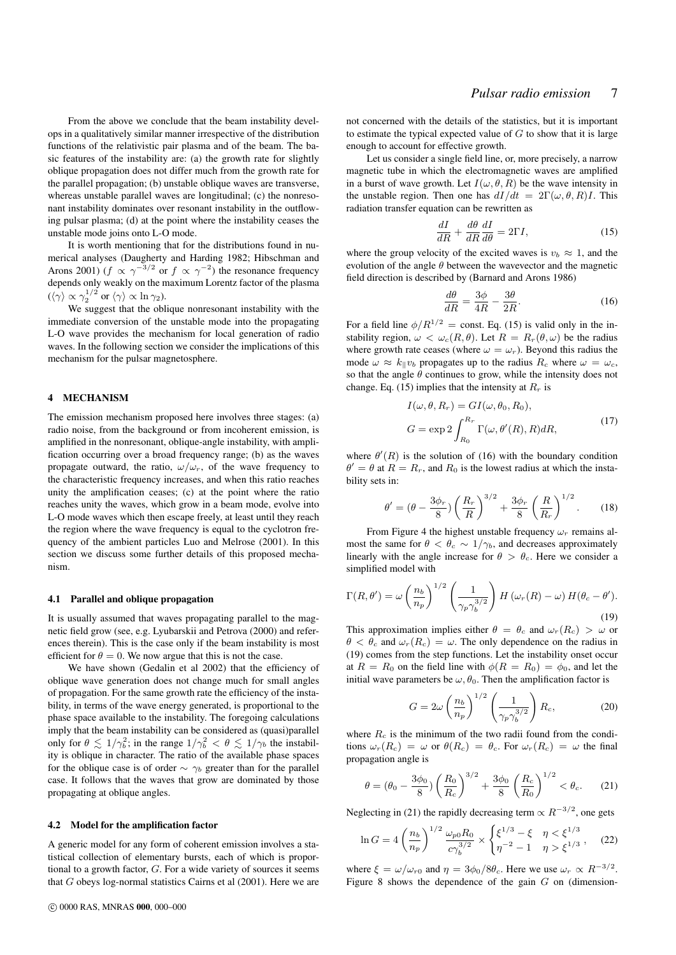From the above we conclude that the beam instability develops in a qualitatively similar manner irrespective of the distribution functions of the relativistic pair plasma and of the beam. The basic features of the instability are: (a) the growth rate for slightly oblique propagation does not differ much from the growth rate for the parallel propagation; (b) unstable oblique waves are transverse, whereas unstable parallel waves are longitudinal; (c) the nonresonant instability dominates over resonant instability in the outflowing pulsar plasma; (d) at the point where the instability ceases the unstable mode joins onto L-O mode.

It is worth mentioning that for the distributions found in numerical analyses (Daugherty and Harding 1982; Hibschman and Arons 2001) ( $f \propto \gamma^{-3/2}$  or  $f \propto \gamma^{-2}$ ) the resonance frequency depends only weakly on the maximum Lorentz factor of the plasma  $(\langle \gamma \rangle \propto \gamma_2^{1/2} \text{ or } \langle \gamma \rangle \propto \ln \gamma_2$ ).

We suggest that the oblique nonresonant instability with the immediate conversion of the unstable mode into the propagating L-O wave provides the mechanism for local generation of radio waves. In the following section we consider the implications of this mechanism for the pulsar magnetosphere.

# 4 MECHANISM

The emission mechanism proposed here involves three stages: (a) radio noise, from the background or from incoherent emission, is amplified in the nonresonant, oblique-angle instability, with amplification occurring over a broad frequency range; (b) as the waves propagate outward, the ratio,  $\omega/\omega_r$ , of the wave frequency to the characteristic frequency increases, and when this ratio reaches unity the amplification ceases; (c) at the point where the ratio reaches unity the waves, which grow in a beam mode, evolve into L-O mode waves which then escape freely, at least until they reach the region where the wave frequency is equal to the cyclotron frequency of the ambient particles Luo and Melrose (2001). In this section we discuss some further details of this proposed mechanism.

#### 4.1 Parallel and oblique propagation

It is usually assumed that waves propagating parallel to the magnetic field grow (see, e.g. Lyubarskii and Petrova (2000) and references therein). This is the case only if the beam instability is most efficient for  $\theta = 0$ . We now argue that this is not the case.

We have shown (Gedalin et al 2002) that the efficiency of oblique wave generation does not change much for small angles of propagation. For the same growth rate the efficiency of the instability, in terms of the wave energy generated, is proportional to the phase space available to the instability. The foregoing calculations imply that the beam instability can be considered as (quasi)parallel only for  $\theta \lesssim 1/\gamma_b^2$ ; in the range  $1/\gamma_b^2 < \theta \lesssim 1/\gamma_b$  the instability is oblique in character. The ratio of the available phase spaces for the oblique case is of order  $\sim \gamma_b$  greater than for the parallel case. It follows that the waves that grow are dominated by those propagating at oblique angles.

#### 4.2 Model for the amplification factor

A generic model for any form of coherent emission involves a statistical collection of elementary bursts, each of which is proportional to a growth factor, G. For a wide variety of sources it seems that G obeys log-normal statistics Cairns et al (2001). Here we are not concerned with the details of the statistics, but it is important to estimate the typical expected value of  $G$  to show that it is large enough to account for effective growth.

Let us consider a single field line, or, more precisely, a narrow magnetic tube in which the electromagnetic waves are amplified in a burst of wave growth. Let  $I(\omega, \theta, R)$  be the wave intensity in the unstable region. Then one has  $dI/dt = 2\Gamma(\omega, \theta, R)I$ . This radiation transfer equation can be rewritten as

$$
\frac{dI}{dR} + \frac{d\theta}{dR}\frac{dI}{d\theta} = 2\Gamma I,\tag{15}
$$

where the group velocity of the excited waves is  $v_b \approx 1$ , and the evolution of the angle  $\theta$  between the wavevector and the magnetic field direction is described by (Barnard and Arons 1986)

$$
\frac{d\theta}{dR} = \frac{3\phi}{4R} - \frac{3\theta}{2R}.\tag{16}
$$

For a field line  $\phi/R^{1/2}$  = const. Eq. (15) is valid only in the instability region,  $\omega < \omega_c(R, \theta)$ . Let  $R = R_r(\theta, \omega)$  be the radius where growth rate ceases (where  $\omega = \omega_r$ ). Beyond this radius the mode  $\omega \approx k_{\parallel}v_b$  propagates up to the radius  $R_c$  where  $\omega = \omega_c$ , so that the angle  $\theta$  continues to grow, while the intensity does not change. Eq. (15) implies that the intensity at  $R_r$  is

$$
I(\omega, \theta, R_r) = GI(\omega, \theta_0, R_0),
$$
  
\n
$$
G = \exp 2 \int_{R_0}^{R_r} \Gamma(\omega, \theta'(R), R) dR,
$$
\n(17)

where  $\theta'(R)$  is the solution of (16) with the boundary condition  $\theta' = \theta$  at  $R = R_r$ , and  $R_0$  is the lowest radius at which the instability sets in:

$$
\theta' = (\theta - \frac{3\phi_r}{8})\left(\frac{R_r}{R}\right)^{3/2} + \frac{3\phi_r}{8}\left(\frac{R}{R_r}\right)^{1/2}.
$$
 (18)

From Figure 4 the highest unstable frequency  $\omega_r$  remains almost the same for  $\theta < \theta_c \sim 1/\gamma_b$ , and decreases approximately linearly with the angle increase for  $\theta > \theta_c$ . Here we consider a simplified model with

$$
\Gamma(R, \theta') = \omega \left(\frac{n_b}{n_p}\right)^{1/2} \left(\frac{1}{\gamma_p \gamma_b^{3/2}}\right) H\left(\omega_r(R) - \omega\right) H(\theta_c - \theta').
$$
\n(19)

This approximation implies either  $\theta = \theta_c$  and  $\omega_r(R_c) > \omega$  or  $\theta < \theta_c$  and  $\omega_r(R_c) = \omega$ . The only dependence on the radius in (19) comes from the step functions. Let the instability onset occur at  $R = R_0$  on the field line with  $\phi(R = R_0) = \phi_0$ , and let the initial wave parameters be  $\omega$ ,  $\theta_0$ . Then the amplification factor is

$$
G = 2\omega \left(\frac{n_b}{n_p}\right)^{1/2} \left(\frac{1}{\gamma_p \gamma_b^{3/2}}\right) R_c, \tag{20}
$$

where  $R_c$  is the minimum of the two radii found from the conditions  $\omega_r(R_c) = \omega$  or  $\theta(R_c) = \theta_c$ . For  $\omega_r(R_c) = \omega$  the final propagation angle is

$$
\theta = (\theta_0 - \frac{3\phi_0}{8}) \left(\frac{R_0}{R_c}\right)^{3/2} + \frac{3\phi_0}{8} \left(\frac{R_c}{R_0}\right)^{1/2} < \theta_c.
$$
 (21)

Neglecting in (21) the rapidly decreasing term  $\propto R^{-3/2}$ , one gets

$$
\ln G = 4 \left( \frac{n_b}{n_p} \right)^{1/2} \frac{\omega_{p0} R_0}{c \gamma_b^{3/2}} \times \begin{cases} \xi^{1/3} - \xi & \eta < \xi^{1/3} \\ \eta^{-2} - 1 & \eta > \xi^{1/3} \end{cases} \tag{22}
$$

where  $\xi = \omega/\omega_{r0}$  and  $\eta = 3\phi_0/8\theta_c$ . Here we use  $\omega_r \propto R^{-3/2}$ . Figure 8 shows the dependence of the gain  $G$  on (dimension-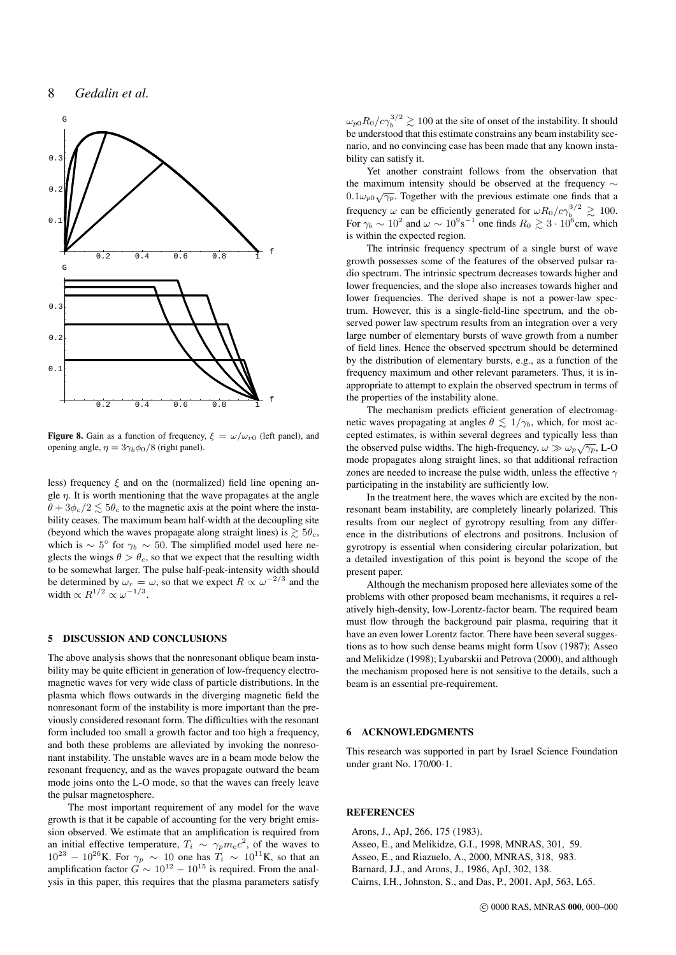

**Figure 8.** Gain as a function of frequency,  $\xi = \omega/\omega_{r0}$  (left panel), and opening angle,  $\eta = 3\gamma_b \phi_0/8$  (right panel).

less) frequency  $\xi$  and on the (normalized) field line opening angle  $\eta$ . It is worth mentioning that the wave propagates at the angle  $\theta + 3\phi_c/2 \leq 5\theta_c$  to the magnetic axis at the point where the instability ceases. The maximum beam half-width at the decoupling site (beyond which the waves propagate along straight lines) is  $\gtrsim 5\theta_c$ , which is  $\sim 5^{\circ}$  for  $\gamma_b \sim 50$ . The simplified model used here neglects the wings  $\theta > \theta_c$ , so that we expect that the resulting width to be somewhat larger. The pulse half-peak-intensity width should be determined by  $\omega_r = \omega$ , so that we expect  $R \propto \omega^{-2/3}$  and the width  $\propto R^{1/2} \propto \omega^{-1/3}$ .

# 5 DISCUSSION AND CONCLUSIONS

The above analysis shows that the nonresonant oblique beam instability may be quite efficient in generation of low-frequency electromagnetic waves for very wide class of particle distributions. In the plasma which flows outwards in the diverging magnetic field the nonresonant form of the instability is more important than the previously considered resonant form. The difficulties with the resonant form included too small a growth factor and too high a frequency, and both these problems are alleviated by invoking the nonresonant instability. The unstable waves are in a beam mode below the resonant frequency, and as the waves propagate outward the beam mode joins onto the L-O mode, so that the waves can freely leave the pulsar magnetosphere.

The most important requirement of any model for the wave growth is that it be capable of accounting for the very bright emission observed. We estimate that an amplification is required from an initial effective temperature,  $T_i \sim \gamma_p m_e c^2$ , of the waves to  $10^{23} - 10^{26}$ K. For  $\gamma_p \sim 10$  one has  $T_i \sim 10^{11}$ K, so that an amplification factor  $G \sim 10^{12} - 10^{15}$  is required. From the analysis in this paper, this requires that the plasma parameters satisfy

 $\omega_{p0}R_0/c\gamma_b^{3/2} \gtrsim 100$  at the site of onset of the instability. It should be understood that this estimate constrains any beam instability scenario, and no convincing case has been made that any known instability can satisfy it.

Yet another constraint follows from the observation that the maximum intensity should be observed at the frequency ∼  $0.1\omega_{p0}\sqrt{\gamma_p}$ . Together with the previous estimate one finds that a frequency  $\omega$  can be efficiently generated for  $\omega R_0/c\gamma_b^{3/2} \gtrsim 100$ . For  $\gamma_b \sim 10^2$  and  $\omega \sim 10^9$  s<sup>-1</sup> one finds  $R_0 \gtrsim 3 \cdot 10^6$  cm, which is within the expected region.

The intrinsic frequency spectrum of a single burst of wave growth possesses some of the features of the observed pulsar radio spectrum. The intrinsic spectrum decreases towards higher and lower frequencies, and the slope also increases towards higher and lower frequencies. The derived shape is not a power-law spectrum. However, this is a single-field-line spectrum, and the observed power law spectrum results from an integration over a very large number of elementary bursts of wave growth from a number of field lines. Hence the observed spectrum should be determined by the distribution of elementary bursts, e.g., as a function of the frequency maximum and other relevant parameters. Thus, it is inappropriate to attempt to explain the observed spectrum in terms of the properties of the instability alone.

The mechanism predicts efficient generation of electromagnetic waves propagating at angles  $\theta \leq 1/\gamma_b$ , which, for most accepted estimates, is within several degrees and typically less than the observed pulse widths. The high-frequency,  $\omega \gg \omega_p \sqrt{\gamma_p}$ , L-O mode propagates along straight lines, so that additional refraction zones are needed to increase the pulse width, unless the effective  $\gamma$ participating in the instability are sufficiently low.

In the treatment here, the waves which are excited by the nonresonant beam instability, are completely linearly polarized. This results from our neglect of gyrotropy resulting from any difference in the distributions of electrons and positrons. Inclusion of gyrotropy is essential when considering circular polarization, but a detailed investigation of this point is beyond the scope of the present paper.

Although the mechanism proposed here alleviates some of the problems with other proposed beam mechanisms, it requires a relatively high-density, low-Lorentz-factor beam. The required beam must flow through the background pair plasma, requiring that it have an even lower Lorentz factor. There have been several suggestions as to how such dense beams might form Usov (1987); Asseo and Melikidze (1998); Lyubarskii and Petrova (2000), and although the mechanism proposed here is not sensitive to the details, such a beam is an essential pre-requirement.

# 6 ACKNOWLEDGMENTS

This research was supported in part by Israel Science Foundation under grant No. 170/00-1.

# **REFERENCES**

Arons, J., ApJ, 266, 175 (1983). Asseo, E., and Melikidze, G.I., 1998, MNRAS, 301, 59. Asseo, E., and Riazuelo, A., 2000, MNRAS, 318, 983. Barnard, J.J., and Arons, J., 1986, ApJ, 302, 138. Cairns, I.H., Johnston, S., and Das, P., 2001, ApJ, 563, L65.